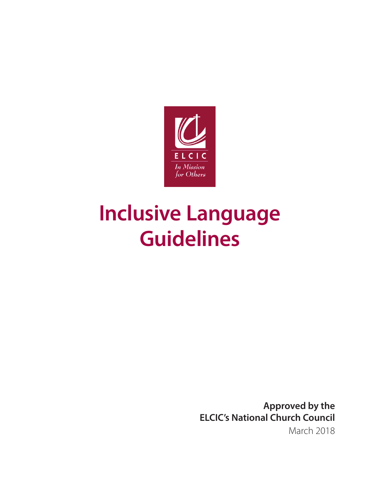

# **Inclusive Language Guidelines**

**Approved by the ELCIC's National Church Council** March 2018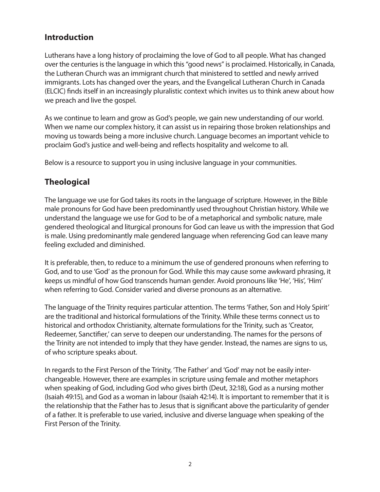## **Introduction**

Lutherans have a long history of proclaiming the love of God to all people. What has changed over the centuries is the language in which this "good news" is proclaimed. Historically, in Canada, the Lutheran Church was an immigrant church that ministered to settled and newly arrived immigrants. Lots has changed over the years, and the Evangelical Lutheran Church in Canada (ELCIC) finds itself in an increasingly pluralistic context which invites us to think anew about how we preach and live the gospel.

As we continue to learn and grow as God's people, we gain new understanding of our world. When we name our complex history, it can assist us in repairing those broken relationships and moving us towards being a more inclusive church. Language becomes an important vehicle to proclaim God's justice and well-being and reflects hospitality and welcome to all.

Below is a resource to support you in using inclusive language in your communities.

# **Theological**

The language we use for God takes its roots in the language of scripture. However, in the Bible male pronouns for God have been predominantly used throughout Christian history. While we understand the language we use for God to be of a metaphorical and symbolic nature, male gendered theological and liturgical pronouns for God can leave us with the impression that God is male. Using predominantly male gendered language when referencing God can leave many feeling excluded and diminished.

It is preferable, then, to reduce to a minimum the use of gendered pronouns when referring to God, and to use 'God' as the pronoun for God. While this may cause some awkward phrasing, it keeps us mindful of how God transcends human gender. Avoid pronouns like 'He', 'His', 'Him' when referring to God. Consider varied and diverse pronouns as an alternative.

The language of the Trinity requires particular attention. The terms 'Father, Son and Holy Spirit' are the traditional and historical formulations of the Trinity. While these terms connect us to historical and orthodox Christianity, alternate formulations for the Trinity, such as 'Creator, Redeemer, Sanctifier,' can serve to deepen our understanding. The names for the persons of the Trinity are not intended to imply that they have gender. Instead, the names are signs to us, of who scripture speaks about.

In regards to the First Person of the Trinity, 'The Father' and 'God' may not be easily interchangeable. However, there are examples in scripture using female and mother metaphors when speaking of God, including God who gives birth (Deut, 32:18), God as a nursing mother (Isaiah 49:15), and God as a woman in labour (Isaiah 42:14). It is important to remember that it is the relationship that the Father has to Jesus that is significant above the particularity of gender of a father. It is preferable to use varied, inclusive and diverse language when speaking of the First Person of the Trinity.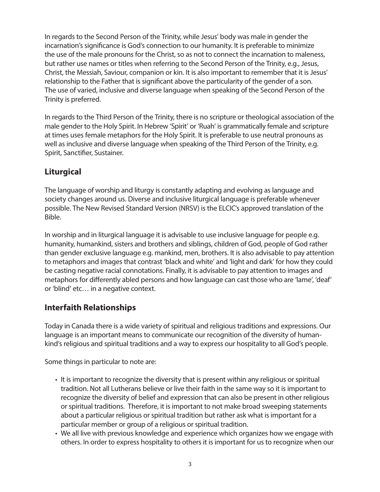In regards to the Second Person of the Trinity, while Jesus' body was male in gender the incarnation's significance is God's connection to our humanity. It is preferable to minimize the use of the male pronouns for the Christ, so as not to connect the incarnation to maleness, but rather use names or titles when referring to the Second Person of the Trinity, e.g., Jesus, Christ, the Messiah, Saviour, companion or kin. It is also important to remember that it is Jesus' relationship to the Father that is significant above the particularity of the gender of a son. The use of varied, inclusive and diverse language when speaking of the Second Person of the Trinity is preferred.

In regards to the Third Person of the Trinity, there is no scripture or theological association of the male gender to the Holy Spirit. In Hebrew 'Spirit' or 'Ruah' is grammatically female and scripture at times uses female metaphors for the Holy Spirit. It is preferable to use neutral pronouns as well as inclusive and diverse language when speaking of the Third Person of the Trinity, e.g. Spirit, Sanctifier, Sustainer.

# **Liturgical**

The language of worship and liturgy is constantly adapting and evolving as language and society changes around us. Diverse and inclusive liturgical language is preferable whenever possible. The New Revised Standard Version (NRSV) is the ELCIC's approved translation of the Bible.

In worship and in liturgical language it is advisable to use inclusive language for people e.g. humanity, humankind, sisters and brothers and siblings, children of God, people of God rather than gender exclusive language e.g. mankind, men, brothers. It is also advisable to pay attention to metaphors and images that contrast 'black and white' and 'light and dark' for how they could be casting negative racial connotations. Finally, it is advisable to pay attention to images and metaphors for differently abled persons and how language can cast those who are 'lame', 'deaf' or 'blind' etc… in a negative context.

### **Interfaith Relationships**

Today in Canada there is a wide variety of spiritual and religious traditions and expressions. Our language is an important means to communicate our recognition of the diversity of humankind's religious and spiritual traditions and a way to express our hospitality to all God's people.

Some things in particular to note are:

- It is important to recognize the diversity that is present within any religious or spiritual tradition. Not all Lutherans believe or live their faith in the same way so it is important to recognize the diversity of belief and expression that can also be present in other religious or spiritual traditions. Therefore, it is important to not make broad sweeping statements about a particular religious or spiritual tradition but rather ask what is important for a particular member or group of a religious or spiritual tradition.
- We all live with previous knowledge and experience which organizes how we engage with others. In order to express hospitality to others it is important for us to recognize when our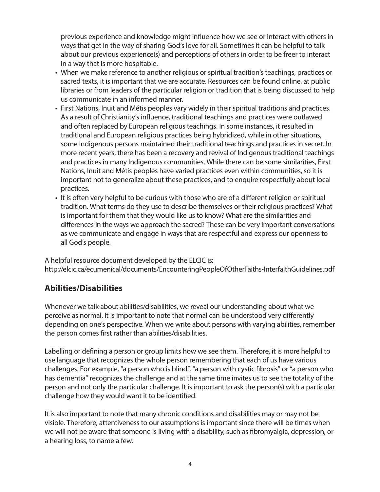previous experience and knowledge might influence how we see or interact with others in ways that get in the way of sharing God's love for all. Sometimes it can be helpful to talk about our previous experience(s) and perceptions of others in order to be freer to interact in a way that is more hospitable.

- When we make reference to another religious or spiritual tradition's teachings, practices or sacred texts, it is important that we are accurate. Resources can be found online, at public libraries or from leaders of the particular religion or tradition that is being discussed to help us communicate in an informed manner.
- First Nations, Inuit and Métis peoples vary widely in their spiritual traditions and practices. As a result of Christianity's influence, traditional teachings and practices were outlawed and often replaced by European religious teachings. In some instances, it resulted in traditional and European religious practices being hybridized, while in other situations, some Indigenous persons maintained their traditional teachings and practices in secret. In more recent years, there has been a recovery and revival of Indigenous traditional teachings and practices in many Indigenous communities. While there can be some similarities, First Nations, Inuit and Métis peoples have varied practices even within communities, so it is important not to generalize about these practices, and to enquire respectfully about local practices.
- It is often very helpful to be curious with those who are of a different religion or spiritual tradition. What terms do they use to describe themselves or their religious practices? What is important for them that they would like us to know? What are the similarities and differences in the ways we approach the sacred? These can be very important conversations as we communicate and engage in ways that are respectful and express our openness to all God's people.

A helpful resource document developed by the ELCIC is: http://elcic.ca/ecumenical/documents/EncounteringPeopleOfOtherFaiths-InterfaithGuidelines.pdf

### **Abilities/Disabilities**

Whenever we talk about abilities/disabilities, we reveal our understanding about what we perceive as normal. It is important to note that normal can be understood very differently depending on one's perspective. When we write about persons with varying abilities, remember the person comes first rather than abilities/disabilities.

Labelling or defining a person or group limits how we see them. Therefore, it is more helpful to use language that recognizes the whole person remembering that each of us have various challenges. For example, "a person who is blind", "a person with cystic fibrosis" or "a person who has dementia" recognizes the challenge and at the same time invites us to see the totality of the person and not only the particular challenge. It is important to ask the person(s) with a particular challenge how they would want it to be identified.

It is also important to note that many chronic conditions and disabilities may or may not be visible. Therefore, attentiveness to our assumptions is important since there will be times when we will not be aware that someone is living with a disability, such as fibromyalgia, depression, or a hearing loss, to name a few.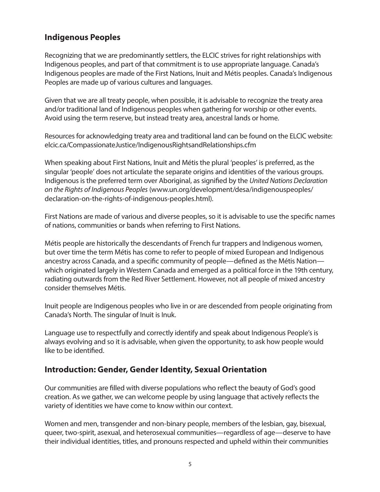## **Indigenous Peoples**

Recognizing that we are predominantly settlers, the ELCIC strives for right relationships with Indigenous peoples, and part of that commitment is to use appropriate language. Canada's Indigenous peoples are made of the First Nations, Inuit and Métis peoples. Canada's Indigenous Peoples are made up of various cultures and languages.

Given that we are all treaty people, when possible, it is advisable to recognize the treaty area and/or traditional land of Indigenous peoples when gathering for worship or other events. Avoid using the term reserve, but instead treaty area, ancestral lands or home.

Resources for acknowledging treaty area and traditional land can be found on the ELCIC website: elcic.ca/CompassionateJustice/IndigenousRightsandRelationships.cfm

When speaking about First Nations, Inuit and Métis the plural 'peoples' is preferred, as the singular 'people' does not articulate the separate origins and identities of the various groups. Indigenous is the preferred term over Aboriginal, as signified by the *United Nations Declaration on the Rights of Indigenous Peoples* (www.un.org/development/desa/indigenouspeoples/ declaration-on-the-rights-of-indigenous-peoples.html).

First Nations are made of various and diverse peoples, so it is advisable to use the specific names of nations, communities or bands when referring to First Nations.

Métis people are historically the descendants of French fur trappers and Indigenous women, but over time the term Métis has come to refer to people of mixed European and Indigenous ancestry across Canada, and a specific community of people—defined as the Métis Nation which originated largely in Western Canada and emerged as a political force in the 19th century, radiating outwards from the Red River Settlement. However, not all people of mixed ancestry consider themselves Métis.

Inuit people are Indigenous peoples who live in or are descended from people originating from Canada's North. The singular of Inuit is Inuk.

Language use to respectfully and correctly identify and speak about Indigenous People's is always evolving and so it is advisable, when given the opportunity, to ask how people would like to be identified.

#### **Introduction: Gender, Gender Identity, Sexual Orientation**

Our communities are filled with diverse populations who reflect the beauty of God's good creation. As we gather, we can welcome people by using language that actively reflects the variety of identities we have come to know within our context.

Women and men, transgender and non-binary people, members of the lesbian, gay, bisexual, queer, two-spirit, asexual, and heterosexual communities—regardless of age—deserve to have their individual identities, titles, and pronouns respected and upheld within their communities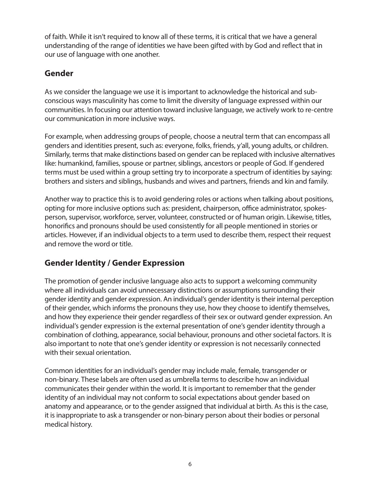of faith. While it isn't required to know all of these terms, it is critical that we have a general understanding of the range of identities we have been gifted with by God and reflect that in our use of language with one another.

### **Gender**

As we consider the language we use it is important to acknowledge the historical and subconscious ways masculinity has come to limit the diversity of language expressed within our communities. In focusing our attention toward inclusive language, we actively work to re-centre our communication in more inclusive ways.

For example, when addressing groups of people, choose a neutral term that can encompass all genders and identities present, such as: everyone, folks, friends, y'all, young adults, or children. Similarly, terms that make distinctions based on gender can be replaced with inclusive alternatives like: humankind, families, spouse or partner, siblings, ancestors or people of God. If gendered terms must be used within a group setting try to incorporate a spectrum of identities by saying: brothers and sisters and siblings, husbands and wives and partners, friends and kin and family.

Another way to practice this is to avoid gendering roles or actions when talking about positions, opting for more inclusive options such as: president, chairperson, office administrator, spokesperson, supervisor, workforce, server, volunteer, constructed or of human origin. Likewise, titles, honorifics and pronouns should be used consistently for all people mentioned in stories or articles. However, if an individual objects to a term used to describe them, respect their request and remove the word or title.

### **Gender Identity / Gender Expression**

The promotion of gender inclusive language also acts to support a welcoming community where all individuals can avoid unnecessary distinctions or assumptions surrounding their gender identity and gender expression. An individual's gender identity is their internal perception of their gender, which informs the pronouns they use, how they choose to identify themselves, and how they experience their gender regardless of their sex or outward gender expression. An individual's gender expression is the external presentation of one's gender identity through a combination of clothing, appearance, social behaviour, pronouns and other societal factors. It is also important to note that one's gender identity or expression is not necessarily connected with their sexual orientation.

Common identities for an individual's gender may include male, female, transgender or non-binary. These labels are often used as umbrella terms to describe how an individual communicates their gender within the world. It is important to remember that the gender identity of an individual may not conform to social expectations about gender based on anatomy and appearance, or to the gender assigned that individual at birth. As this is the case, it is inappropriate to ask a transgender or non-binary person about their bodies or personal medical history.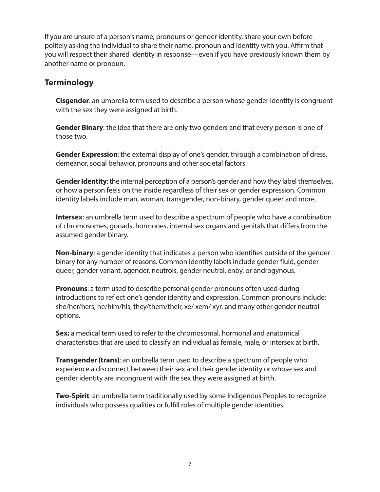If you are unsure of a person's name, pronouns or gender identity, share your own before politely asking the individual to share their name, pronoun and identity with you. Affirm that you will respect their shared identity in response—even if you have previously known them by another name or pronoun.

#### **Terminology**

**Cisgender**: an umbrella term used to describe a person whose gender identity is congruent with the sex they were assigned at birth.

**Gender Binary**: the idea that there are only two genders and that every person is one of those two.

**Gender Expression**: the external display of one's gender, through a combination of dress, demeanor, social behavior, pronouns and other societal factors.

**Gender Identity**: the internal perception of a person's gender and how they label themselves, or how a person feels on the inside regardless of their sex or gender expression. Common identity labels include man, woman, transgender, non-binary, gender queer and more.

**Intersex**: an umbrella term used to describe a spectrum of people who have a combination of chromosomes, gonads, hormones, internal sex organs and genitals that differs from the assumed gender binary.

**Non-binary**: a gender identity that indicates a person who identifies outside of the gender binary for any number of reasons. Common identity labels include gender fluid, gender queer, gender variant, agender, neutrois, gender neutral, enby, or androgynous.

**Pronouns**: a term used to describe personal gender pronouns often used during introductions to reflect one's gender identity and expression. Common pronouns include: she/her/hers, he/him/his, they/them/their, xe/ xem/ xyr, and many other gender neutral options.

**Sex:** a medical term used to refer to the chromosomal, hormonal and anatomical characteristics that are used to classify an individual as female, male, or intersex at birth.

**Transgender (trans)**: an umbrella term used to describe a spectrum of people who experience a disconnect between their sex and their gender identity or whose sex and gender identity are incongruent with the sex they were assigned at birth.

**Two-Spirit:** an umbrella term traditionally used by some Indigenous Peoples to recognize individuals who possess qualities or fulfill roles of multiple gender identities.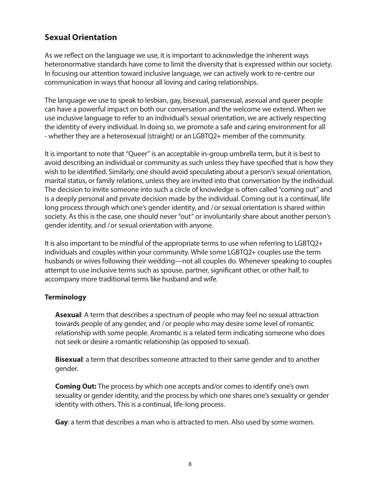## **Sexual Orientation**

As we reflect on the language we use, it is important to acknowledge the inherent ways heteronormative standards have come to limit the diversity that is expressed within our society. In focusing our attention toward inclusive language, we can actively work to re-centre our communication in ways that honour all loving and caring relationships.

The language we use to speak to lesbian, gay, bisexual, pansexual, asexual and queer people can have a powerful impact on both our conversation and the welcome we extend. When we use inclusive language to refer to an individual's sexual orientation, we are actively respecting the identity of every individual. In doing so, we promote a safe and caring environment for all - whether they are a heterosexual (straight) or an LGBTQ2+ member of the community.

It is important to note that "Queer" is an acceptable in-group umbrella term, but it is best to avoid describing an individual or community as such unless they have specified that is how they wish to be identified. Similarly, one should avoid speculating about a person's sexual orientation, marital status, or family relations, unless they are invited into that conversation by the individual. The decision to invite someone into such a circle of knowledge is often called "coming out" and is a deeply personal and private decision made by the individual. Coming out is a continual, life long process through which one's gender identity, and / or sexual orientation is shared within society. As this is the case, one should never "out" or involuntarily share about another person's gender identity, and / or sexual orientation with anyone.

It is also important to be mindful of the appropriate terms to use when referring to LGBTQ2+ individuals and couples within your community. While some LGBTQ2+ couples use the term husbands or wives following their wedding—not all couples do. Whenever speaking to couples attempt to use inclusive terms such as spouse, partner, significant other, or other half, to accompany more traditional terms like husband and wife.

#### **Terminology**

**Asexual**: A term that describes a spectrum of people who may feel no sexual attraction towards people of any gender, and / or people who may desire some level of romantic relationship with some people. Aromantic is a related term indicating someone who does not seek or desire a romantic relationship (as opposed to sexual).

**Bisexual**: a term that describes someone attracted to their same gender and to another gender.

**Coming Out:** The process by which one accepts and/or comes to identify one's own sexuality or gender identity, and the process by which one shares one's sexuality or gender identity with others. This is a continual, life-long process.

**Gay**: a term that describes a man who is attracted to men. Also used by some women.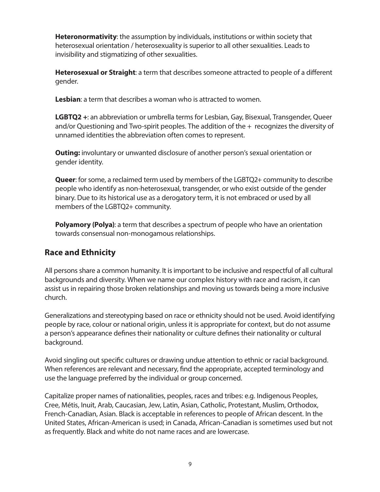**Heteronormativity**: the assumption by individuals, institutions or within society that heterosexual orientation / heterosexuality is superior to all other sexualities. Leads to invisibility and stigmatizing of other sexualities.

**Heterosexual or Straight**: a term that describes someone attracted to people of a different gender.

**Lesbian**: a term that describes a woman who is attracted to women.

**LGBTQ2 +**: an abbreviation or umbrella terms for Lesbian, Gay, Bisexual, Transgender, Queer and/or Questioning and Two-spirit peoples. The addition of the  $+$  recognizes the diversity of unnamed identities the abbreviation often comes to represent.

**Outing:** involuntary or unwanted disclosure of another person's sexual orientation or gender identity.

**Queer**: for some, a reclaimed term used by members of the LGBTQ2+ community to describe people who identify as non-heterosexual, transgender, or who exist outside of the gender binary. Due to its historical use as a derogatory term, it is not embraced or used by all members of the LGBTQ2+ community.

**Polyamory (Polya)**: a term that describes a spectrum of people who have an orientation towards consensual non-monogamous relationships.

### **Race and Ethnicity**

All persons share a common humanity. It is important to be inclusive and respectful of all cultural backgrounds and diversity. When we name our complex history with race and racism, it can assist us in repairing those broken relationships and moving us towards being a more inclusive church.

Generalizations and stereotyping based on race or ethnicity should not be used. Avoid identifying people by race, colour or national origin, unless it is appropriate for context, but do not assume a person's appearance defines their nationality or culture defines their nationality or cultural background.

Avoid singling out specific cultures or drawing undue attention to ethnic or racial background. When references are relevant and necessary, find the appropriate, accepted terminology and use the language preferred by the individual or group concerned.

Capitalize proper names of nationalities, peoples, races and tribes: e.g. Indigenous Peoples, Cree, Métis, Inuit, Arab, Caucasian, Jew, Latin, Asian, Catholic, Protestant, Muslim, Orthodox, French-Canadian, Asian. Black is acceptable in references to people of African descent. In the United States, African-American is used; in Canada, African-Canadian is sometimes used but not as frequently. Black and white do not name races and are lowercase.